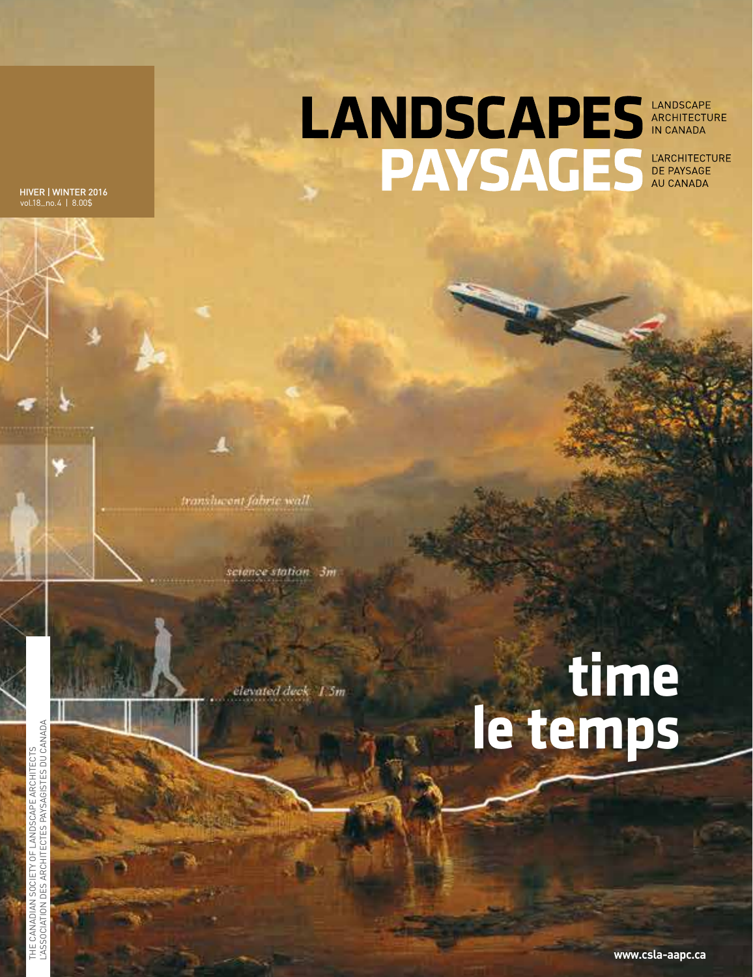LANDSCAPES ARCHITECTURE **PAYSAGES** DE PAYSAGE

HIVER | WINTER 2016 vol.18\_no.4 | 8.00\$

translucent fabric wall

science station 3m

elevated deck 1.5m

## **time le temps**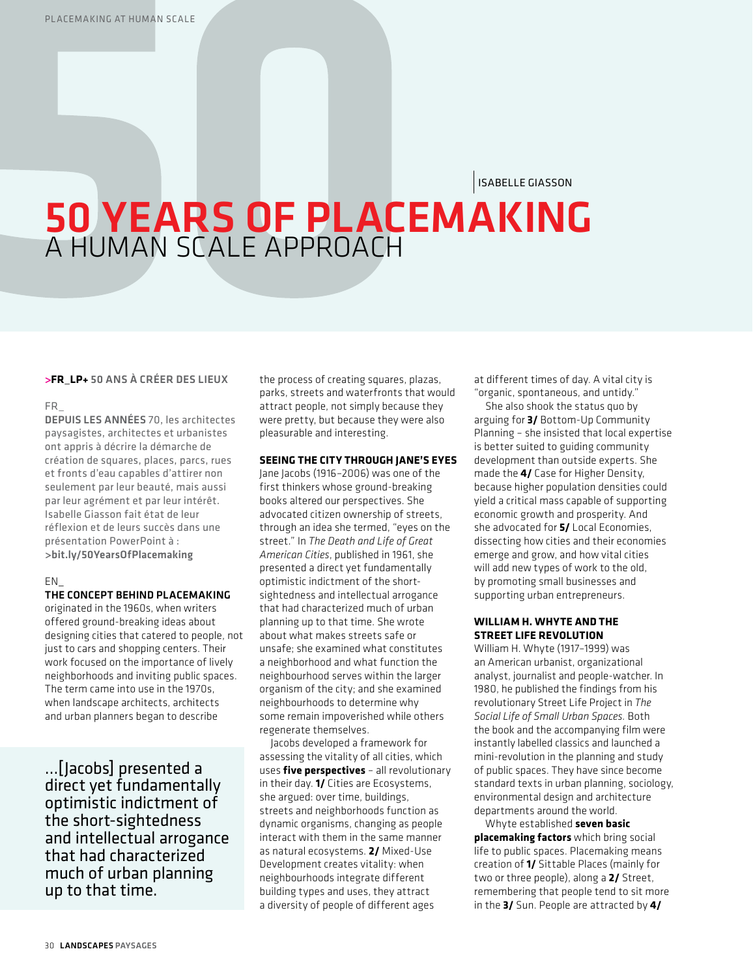ISABELLE GIASSON

# **50 YEARS OF PLACEMAKING**<br>A HUMAN SCALE APPROACH

#### *>***FR\_LP+** 50 ANS À CRÉER DES LIEUX

#### FR\_

DEPUIS LES ANNÉES 70, les architectes paysagistes, architectes et urbanistes ont appris à décrire la démarche de création de squares, places, parcs, rues et fronts d'eau capables d'attirer non seulement par leur beauté, mais aussi par leur agrément et par leur intérêt. Isabelle Giasson fait état de leur réflexion et de leurs succès dans une présentation PowerPoint à : >bit.ly/50YearsOfPlacemaking

### EN\_

#### THE CONCEPT BEHIND PLACEMAKING

originated in the 1960s, when writers offered ground-breaking ideas about designing cities that catered to people, not just to cars and shopping centers. Their work focused on the importance of lively neighborhoods and inviting public spaces. The term came into use in the 1970s, when landscape architects, architects and urban planners began to describe

…[Jacobs] presented a direct yet fundamentally optimistic indictment of the short-sightedness and intellectual arrogance that had characterized much of urban planning up to that time.

the process of creating squares, plazas, parks, streets and waterfronts that would attract people, not simply because they were pretty, but because they were also pleasurable and interesting.

## **SEEING THE CITY THROUGH JANE'S EYES**

Jane Jacobs (1916–2006) was one of the first thinkers whose ground-breaking books altered our perspectives. She advocated citizen ownership of streets, through an idea she termed, "eyes on the street." In *The Death and Life of Great American Cities*, published in 1961, she presented a direct yet fundamentally optimistic indictment of the shortsightedness and intellectual arrogance that had characterized much of urban planning up to that time. She wrote about what makes streets safe or unsafe; she examined what constitutes a neighborhood and what function the neighbourhood serves within the larger organism of the city; and she examined neighbourhoods to determine why some remain impoverished while others regenerate themselves.

Jacobs developed a framework for assessing the vitality of all cities, which uses **five perspectives** – all revolutionary in their day. **1/** Cities are Ecosystems, she argued: over time, buildings, streets and neighborhoods function as dynamic organisms, changing as people interact with them in the same manner as natural ecosystems. **2/** Mixed-Use Development creates vitality: when neighbourhoods integrate different building types and uses, they attract a diversity of people of different ages

at different times of day. A vital city is "organic, spontaneous, and untidy."

She also shook the status quo by arguing for **3/** Bottom-Up Community Planning – she insisted that local expertise is better suited to guiding community development than outside experts. She made the **4/** Case for Higher Density, because higher population densities could yield a critical mass capable of supporting economic growth and prosperity. And she advocated for **5/** Local Economies, dissecting how cities and their economies emerge and grow, and how vital cities will add new types of work to the old, by promoting small businesses and supporting urban entrepreneurs.

## **WILLIAM H. WHYTE AND THE STREET LIFE REVOLUTION**

William H. Whyte (1917–1999) was an American urbanist, organizational analyst, journalist and people-watcher. In 1980, he published the findings from his revolutionary Street Life Project in *The Social Life of Small Urban Spaces.* Both the book and the accompanying film were instantly labelled classics and launched a mini-revolution in the planning and study of public spaces. They have since become standard texts in urban planning, sociology, environmental design and architecture departments around the world.

Whyte established **seven basic placemaking factors** which bring social life to public spaces. Placemaking means creation of **1/** Sittable Places (mainly for two or three people), along a **2/** Street, remembering that people tend to sit more in the **3/** Sun. People are attracted by **4/**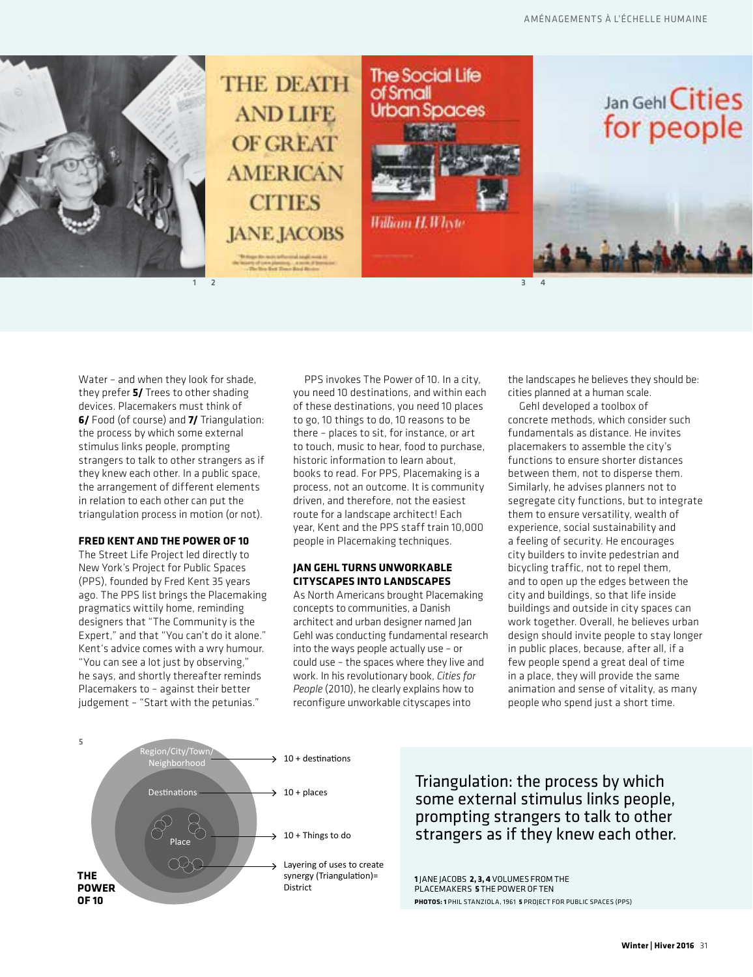







Water – and when they look for shade, they prefer **5/** Trees to other shading devices. Placemakers must think of **6/** Food (of course) and **7/** Triangulation: the process by which some external stimulus links people, prompting strangers to talk to other strangers as if they knew each other. In a public space, the arrangement of different elements in relation to each other can put the triangulation process in motion (or not).

#### **FRED KENT AND THE POWER OF 10**

The Street Life Project led directly to New York's Project for Public Spaces (PPS), founded by Fred Kent 35 years ago. The PPS list brings the Placemaking pragmatics wittily home, reminding designers that "The Community is the Expert," and that "You can't do it alone." Kent's advice comes with a wry humour. "You can see a lot just by observing," he says, and shortly thereafter reminds Placemakers to – against their better judgement – "Start with the petunias."

PPS invokes The Power of 10. In a city, you need 10 destinations, and within each of these destinations, you need 10 places to go, 10 things to do, 10 reasons to be there – places to sit, for instance, or art to touch, music to hear, food to purchase, historic information to learn about, books to read. For PPS, Placemaking is a process, not an outcome. It is community driven, and therefore, not the easiest route for a landscape architect! Each year, Kent and the PPS staff train 10,000 people in Placemaking techniques.

## **JAN GEHL TURNS UNWORKABLE CITYSCAPES INTO LANDSCAPES**

As North Americans brought Placemaking concepts to communities, a Danish architect and urban designer named Jan Gehl was conducting fundamental research into the ways people actually use – or could use – the spaces where they live and work. In his revolutionary book, *Cities for People* (2010), he clearly explains how to reconfigure unworkable cityscapes into

the landscapes he believes they should be: cities planned at a human scale.

Gehl developed a toolbox of concrete methods, which consider such fundamentals as distance. He invites placemakers to assemble the city's functions to ensure shorter distances between them, not to disperse them. Similarly, he advises planners not to segregate city functions, but to integrate them to ensure versatility, wealth of experience, social sustainability and a feeling of security. He encourages city builders to invite pedestrian and bicycling traffic, not to repel them, and to open up the edges between the city and buildings, so that life inside buildings and outside in city spaces can work together. Overall, he believes urban design should invite people to stay longer in public places, because, after all, if a few people spend a great deal of time in a place, they will provide the same animation and sense of vitality, as many people who spend just a short time.



Triangulation: the process by which some external stimulus links people, prompting strangers to talk to other strangers as if they knew each other.

**1** JANE JACOBS **2, 3, 4** VOLUMES FROM THE PLACEMAKERS **5** THE POWER OF TEN **PHOTOS: 1** PHIL STANZIOLA, 1961 **5** PROJECT FOR PUBLIC SPACES (PPS)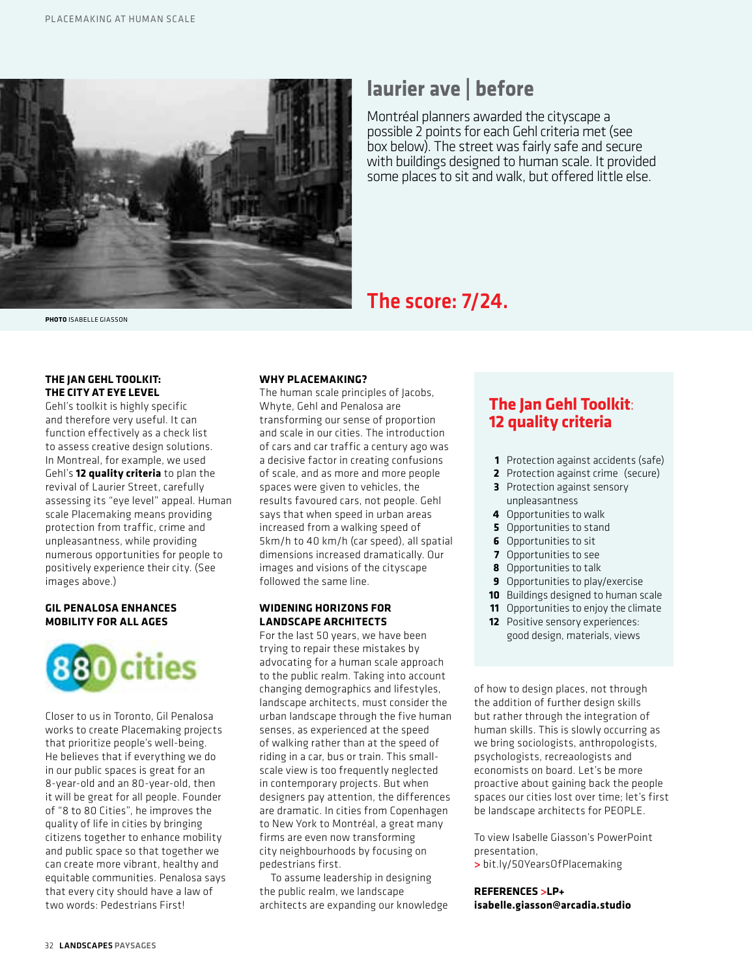

**PHOTO** ISABELLE GIASSON

## **laurier ave | before**

Montréal planners awarded the cityscape a possible 2 points for each Gehl criteria met (see box below). The street was fairly safe and secure with buildings designed to human scale. It provided some places to sit and walk, but offered little else.

## The score: 7/24.

## **THE JAN GEHL TOOLKIT: THE CITY AT EYE LEVEL**

Gehl's toolkit is highly specific and therefore very useful. It can function effectively as a check list to assess creative design solutions. In Montreal, for example, we used Gehl's **12 quality criteria** to plan the revival of Laurier Street, carefully assessing its "eye level" appeal. Human scale Placemaking means providing protection from traffic, crime and unpleasantness, while providing numerous opportunities for people to positively experience their city. (See images above.)

## **GIL PENALOSA ENHANCES MOBILITY FOR ALL AGES**



Closer to us in Toronto, Gil Penalosa works to create Placemaking projects that prioritize people's well-being. He believes that if everything we do in our public spaces is great for an 8-year-old and an 80-year-old, then it will be great for all people. Founder of "8 to 80 Cities", he improves the quality of life in cities by bringing citizens together to enhance mobility and public space so that together we can create more vibrant, healthy and equitable communities. Penalosa says that every city should have a law of two words: Pedestrians First!

## **WHY PLACEMAKING?**

The human scale principles of Jacobs, Whyte, Gehl and Penalosa are transforming our sense of proportion and scale in our cities. The introduction of cars and car traffic a century ago was a decisive factor in creating confusions of scale, and as more and more people spaces were given to vehicles, the results favoured cars, not people. Gehl says that when speed in urban areas increased from a walking speed of 5km/h to 40 km/h (car speed), all spatial dimensions increased dramatically. Our images and visions of the cityscape followed the same line.

## **WIDENING HORIZONS FOR LANDSCAPE ARCHITECTS**

For the last 50 years, we have been trying to repair these mistakes by advocating for a human scale approach to the public realm. Taking into account changing demographics and lifestyles, landscape architects, must consider the urban landscape through the five human senses, as experienced at the speed of walking rather than at the speed of riding in a car, bus or train. This smallscale view is too frequently neglected in contemporary projects. But when designers pay attention, the differences are dramatic. In cities from Copenhagen to New York to Montréal, a great many firms are even now transforming city neighbourhoods by focusing on pedestrians first.

To assume leadership in designing the public realm, we landscape architects are expanding our knowledge

## **The Jan Gehl Toolkit**: **12 quality criteria**

- **1** Protection against accidents (safe)
- **2** Protection against crime (secure)
- **3** Protection against sensory unpleasantness
- **4** Opportunities to walk
- **5** Opportunities to stand
- **6** Opportunities to sit
- **7** Opportunities to see
- **8** Opportunities to talk
- **9** Opportunities to play/exercise
- **10** Buildings designed to human scale
- **11** Opportunities to enjoy the climate
- **12** Positive sensory experiences: good design, materials, views

of how to design places, not through the addition of further design skills but rather through the integration of human skills. This is slowly occurring as we bring sociologists, anthropologists, psychologists, recreaologists and economists on board. Let's be more proactive about gaining back the people spaces our cities lost over time; let's first be landscape architects for PEOPLE.

To view Isabelle Giasson's PowerPoint presentation, **>** bit.ly/50YearsOfPlacemaking

**REFERENCES >LP+ isabelle.giasson@arcadia.studio**